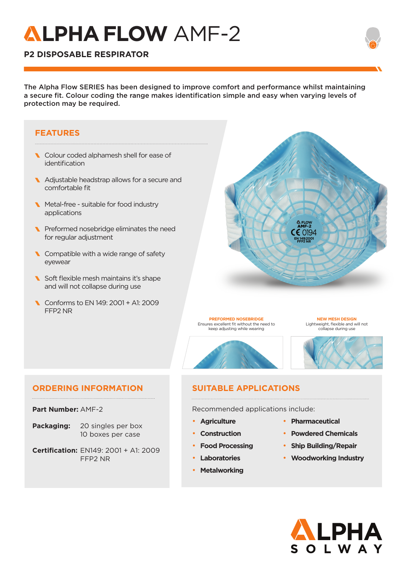## **LPHAFLOW** AMF-2

## **P2 DISPOSABLE RESPIRATOR**

The Alpha Flow SERIES has been designed to improve comfort and performance whilst maintaining a secure fit. Colour coding the range makes identification simple and easy when varying levels of protection may be required.

#### **FEATURES**

- Colour coded alphamesh shell for ease of identification
- Adjustable headstrap allows for a secure and comfortable fit
- Metal-free suitable for food industry applications
- Preformed nosebridge eliminates the need for regular adjustment
- Compatible with a wide range of safety eyewear
- Soft flexible mesh maintains it's shape and will not collapse during use
- Conforms to EN 149: 2001 + A1: 2009 FFP2 NR



**PREFORMED NOSEBRIDGE** Ensures excellent fit without the need to keep adjusting while wearing



**NEW MESH DESIGN** Lightweight, flexible and will not collapse during use

#### **ORDERING INFORMATION SUITABLE APPLICATIONS**

**Part Number:** AMF-2

- **Packaging:** 20 singles per box 10 boxes per case
- **Certification:** EN149: 2001 + A1: 2009 FFP2 NR

Recommended applications include:

- **Agriculture**
- **Construction**
- **Food Processing**
- **Laboratories**
- **Metalworking**
- **Pharmaceutical**
- **Powdered Chemicals**
- **Ship Building/Repair**
- **Woodworking Industry**
	- LPHA OLWAY